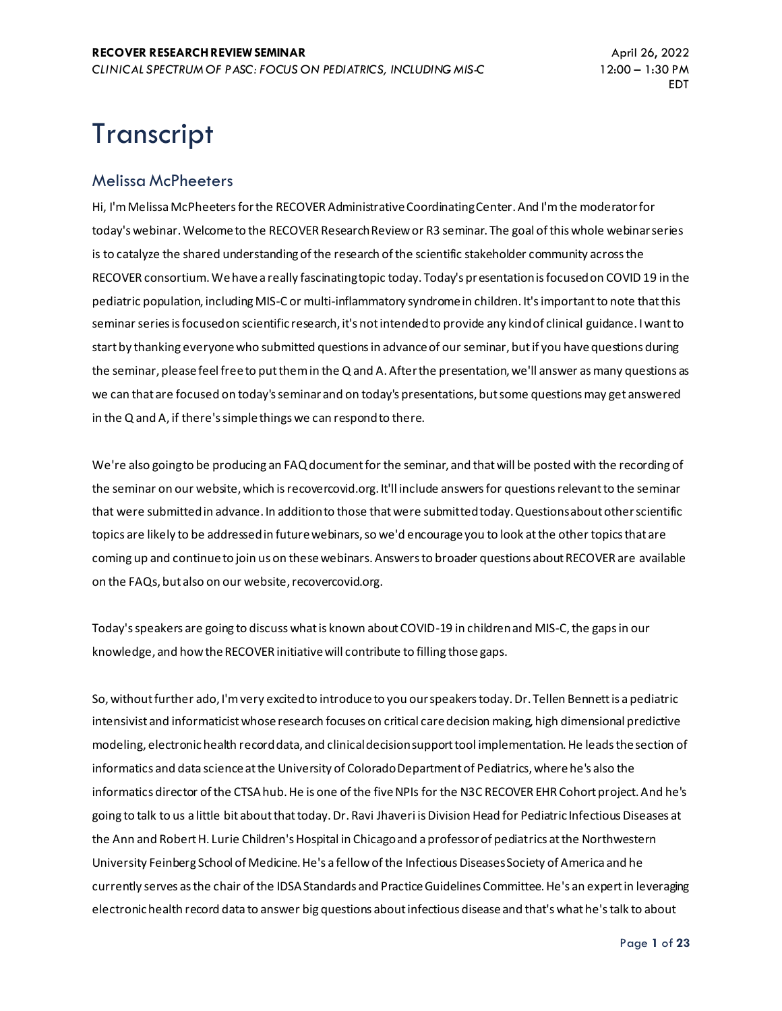# **Transcript**

#### Melissa McPheeters

Hi, I'm Melissa McPheeters for the RECOVER Administrative Coordinating Center. And I'm the moderator for today's webinar. Welcome to the RECOVER Research Review or R3 seminar. The goal of this whole webinar series is to catalyze the shared understanding of the research of the scientific stakeholder community across the RECOVER consortium. We have a really fascinating topic today. Today's presentation is focused on COVID 19 in the pediatric population, including MIS-C or multi-inflammatory syndrome in children. It's important to note that this seminar series is focused on scientific research, it's not intended to provide any kind of clinical guidance. I want to start by thanking everyone who submitted questions in advance of our seminar, but if you have questions during the seminar, please feel free to put them in the Q and A. After the presentation, we'll answer as many questions as we can that are focused on today's seminar and on today's presentations, but some questions may get answered in the Q and A, if there's simple things we can respond to there.

We're also going to be producing an FAQ document for the seminar, and that will be posted with the recording of the seminar on our website, which is recovercovid.org. It'll include answers for questions relevant to the seminar that were submitted in advance. In addition to those that were submitted today. Questions about other scientific topics are likely to be addressed in future webinars, so we'd encourage you to look at the other topics that are coming up and continue to join us on these webinars. Answers to broader questions about RECOVER are available on the FAQs, but also on our website, recovercovid.org.

Today's speakers are going to discuss what is known about COVID-19 in children and MIS-C, the gaps in our knowledge, and how the RECOVER initiative will contribute to filling those gaps.

So, without further ado, I'm very excited to introduce to you our speakers today. Dr. Tellen Bennett is a pediatric intensivist and informaticist whose research focuses on critical care decision making, high dimensional predictive modeling, electronic health record data, and clinical decision support tool implementation. He leads the section of informatics and data science at the University of Colorado Department of Pediatrics, where he's also the informatics director of the CTSA hub. He is one of the five NPIs for the N3C RECOVER EHR Cohort project. And he's going to talk to us a little bit about that today. Dr. Ravi Jhaveri is Division Head for Pediatric Infectious Diseases at the Ann and Robert H. Lurie Children's Hospital in Chicago and a professor of pediatrics at the Northwestern University Feinberg School of Medicine. He's a fellow of the Infectious Diseases Society of America and he currently serves as the chair of the IDSA Standards and Practice Guidelines Committee. He's an expert in leveraging electronic health record data to answer big questions about infectious disease and that's what he's talk to about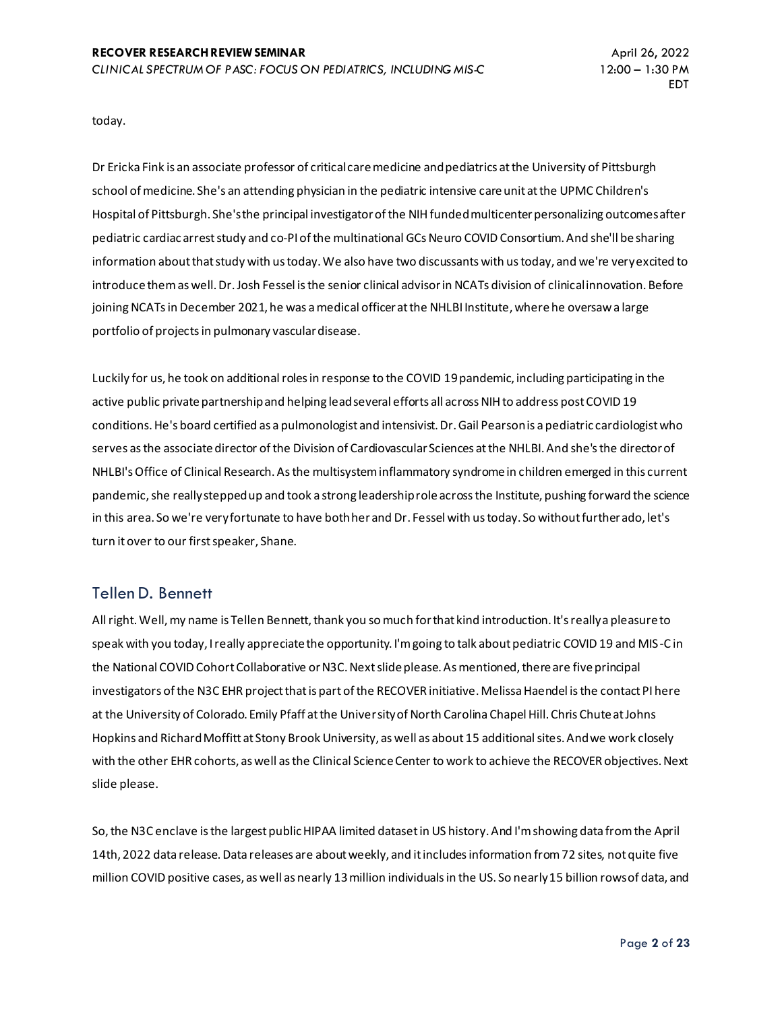today.

Dr Ericka Fink is an associate professor of critical care medicine and pediatrics at the University of Pittsburgh school of medicine. She's an attending physician in the pediatric intensive care unit at the UPMC Children's Hospital of Pittsburgh. She's the principal investigator of the NIH funded multicenter personalizing outcomes after pediatric cardiac arrest study and co-PI of the multinational GCs Neuro COVID Consortium. And she'll be sharing information about that study with us today. We also have two discussants with us today, and we're very excited to introduce them as well. Dr. Josh Fessel is the senior clinical advisor in NCATs division of clinical innovation. Before joining NCATs in December 2021, he was a medical officer at the NHLBI Institute, where he oversaw a large portfolio of projects in pulmonary vascular disease.

Luckily for us, he took on additional roles in response to the COVID 19 pandemic, including participating in the active public private partnership and helping lead several efforts all across NIH to address post COVID 19 conditions. He's board certified as a pulmonologist and intensivist. Dr. Gail Pearson is a pediatric cardiologist who serves as the associate director of the Division of Cardiovascular Sciences at the NHLBI. And she's the director of NHLBI's Office of Clinical Research. As the multisystem inflammatory syndrome in children emerged in this current pandemic, she really stepped up and took a strong leadership role across the Institute, pushing forward the science in this area. So we're very fortunate to have both her and Dr. Fessel with us today. So without further ado, let's turn it over to our first speaker, Shane.

#### Tellen D. Bennett

All right. Well, my name is Tellen Bennett, thank you so much for that kind introduction. It's really a pleasure to speak with you today, I really appreciate the opportunity. I'm going to talk about pediatric COVID 19 and MIS-C in the National COVID Cohort Collaborative or N3C. Next slide please. As mentioned, there are five principal investigators of the N3C EHR project that is part of the RECOVER initiative. Melissa Haendel is the contact PI here at the University of Colorado. Emily Pfaff at the University of North Carolina Chapel Hill. Chris Chute at Johns Hopkins and Richard Moffitt at Stony Brook University, as well as about 15 additional sites. And we work closely with the other EHR cohorts, as well as the Clinical Science Center to work to achieve the RECOVER objectives. Next slide please.

So, the N3C enclave is the largest public HIPAA limited dataset in US history. And I'm showing data from the April 14th, 2022 data release. Data releases are about weekly, and it includes information from 72 sites, not quite five million COVID positive cases, as well as nearly 13 million individuals in the US. So nearly 15 billion rows of data, and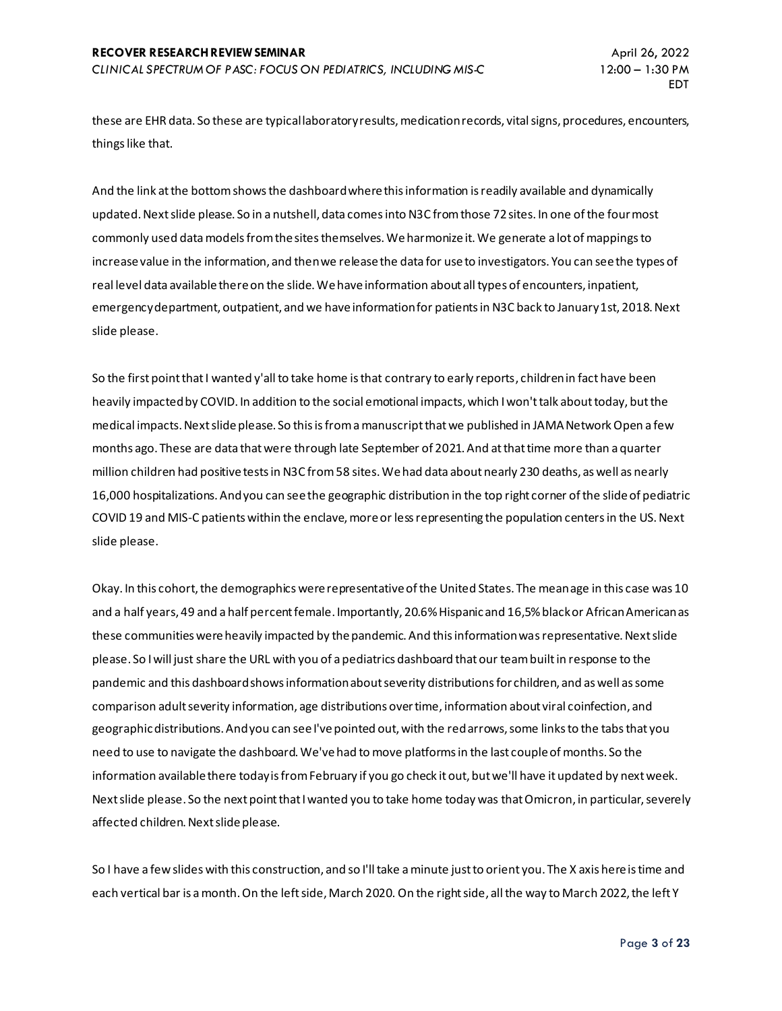these are EHR data. So these are typical laboratory results, medication records, vital signs, procedures, encounters, things like that.

And the link at the bottom shows the dashboard where this information is readily available and dynamically updated. Next slide please. So in a nutshell, data comes into N3C from those 72 sites. In one of the four most commonly used data models from the sites themselves. We harmonize it. We generate a lot of mappings to increase value in the information, and then we release the data for use to investigators. You can see the types of real level data available there on the slide. We have information about all types of encounters, inpatient, emergency department, outpatient, and we have information for patients in N3C back to January 1st, 2018. Next slide please.

So the first point that I wanted y'all to take home is that contrary to early reports, children in fact have been heavily impacted by COVID. In addition to the social emotional impacts, which I won't talk about today, but the medical impacts. Next slide please. So this is from a manuscript that we published in JAMA Network Open a few months ago. These are data that were through late September of 2021. And at that time more than a quarter million children had positive tests in N3C from 58 sites. We had data about nearly 230 deaths, as well as nearly 16,000 hospitalizations. And you can see the geographic distribution in the top right corner of the slide of pediatric COVID 19 and MIS-C patients within the enclave, more or less representing the population centers in the US. Next slide please.

Okay. In this cohort, the demographics were representative of the United States. The mean age in this case was 10 and a half years, 49 and a half percent female. Importantly, 20.6% Hispanic and 16,5% black or African American as these communities were heavily impacted by the pandemic. And this information was representative. Next slide please. So I will just share the URL with you of a pediatrics dashboard that our team built in response to the pandemic and this dashboard shows information about severity distributions for children, and as well as some comparison adult severity information, age distributions over time, information about viral coinfection, and geographic distributions. And you can see I've pointed out, with the red arrows, some links to the tabs that you need to use to navigate the dashboard. We've had to move platforms in the last couple of months. So the information available there today is from February if you go check it out, but we'll have it updated by next week. Next slide please. So the next point that I wanted you to take home today was that Omicron, in particular, severely affected children. Next slide please.

So I have a few slides with this construction, and so I'll take a minute just to orient you. The X axis here is time and each vertical bar is a month. On the left side, March 2020. On the right side, all the way to March 2022, the left Y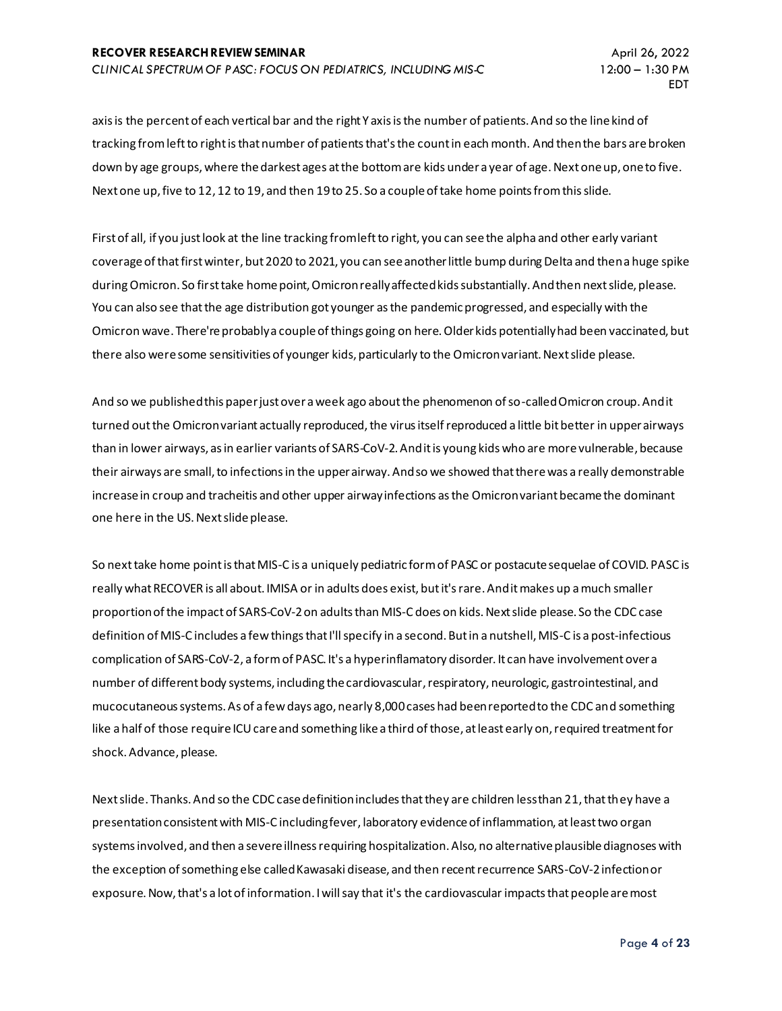axis is the percent of each vertical bar and the right Y axis is the number of patients. And so the line kind of tracking from left to right is that number of patients that's the count in each month. And then the bars are broken down by age groups, where the darkest ages at the bottom are kids under a year of age. Next one up, one to five. Next one up, five to 12, 12 to 19, and then 19 to 25. So a couple of take home points from this slide.

First of all, if you just look at the line tracking from left to right, you can see the alpha and other early variant coverage of that first winter, but 2020 to 2021, you can see another little bump during Delta and then a huge spike during Omicron. So first take home point, Omicron really affected kids substantially. And then next slide, please. You can also see that the age distribution got younger as the pandemic progressed, and especially with the Omicron wave. There're probably a couple of things going on here. Older kids potentially had been vaccinated, but there also were some sensitivities of younger kids, particularly to the Omicron variant. Next slide please.

And so we published this paper just over a week ago about the phenomenon of so-called Omicron croup. And it turned out the Omicron variant actually reproduced, the virus itself reproduced a little bit better in upper airways than in lower airways, as in earlier variants of SARS-CoV-2. And it is young kids who are more vulnerable, because their airways are small, to infections in the upper airway. And so we showed that there was a really demonstrable increase in croup and tracheitis and other upper airway infections as the Omicron variant became the dominant one here in the US. Next slide please.

So next take home point is that MIS-C is a uniquely pediatric form of PASC or postacute sequelae of COVID. PASC is really what RECOVER is all about. IMISA or in adults does exist, but it's rare. And it makes up a much smaller proportion of the impact of SARS-CoV-2 on adults than MIS-C does on kids. Next slide please. So the CDC case definition of MIS-C includes a few things that I'll specify in a second. But in a nutshell, MIS-C is a post-infectious complication of SARS-CoV-2, a form of PASC. It's a hyperinflamatory disorder. It can have involvement over a number of different body systems, including the cardiovascular, respiratory, neurologic, gastrointestinal, and mucocutaneous systems. As of a few days ago, nearly 8,000 cases had been reported to the CDC and something like a half of those require ICU care and something like a third of those, at least early on, required treatment for shock. Advance, please.

Next slide. Thanks. And so the CDC case definition includes that they are children less than 21, that they have a presentation consistent with MIS-C including fever, laboratory evidence of inflammation, at least two organ systems involved, and then a severe illness requiring hospitalization. Also, no alternative plausible diagnoses with the exception of something else called Kawasaki disease, and then recent recurrence SARS-CoV-2 infection or exposure. Now, that's a lot of information. I will say that it's the cardiovascular impacts that people are most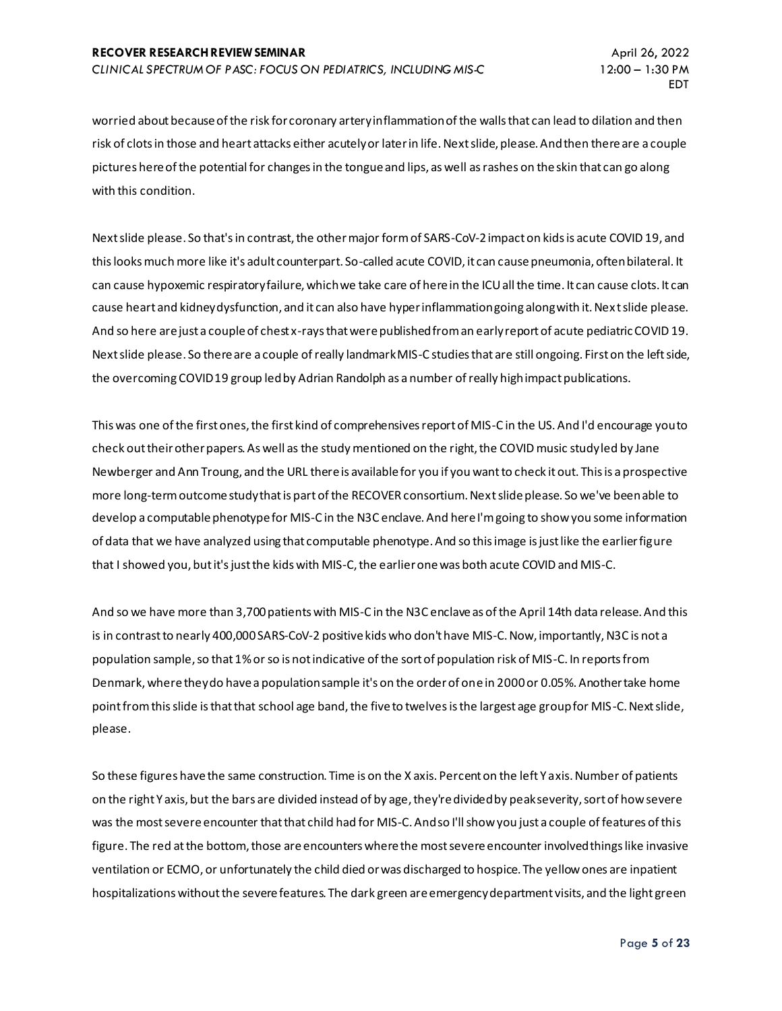worried about because of the risk for coronary artery inflammation of the walls that can lead to dilation and then risk of clots in those and heart attacks either acutely or later in life. Next slide, please. And then there are a couple pictures here of the potential for changes in the tongue and lips, as well as rashes on the skin that can go along with this condition.

Next slide please. So that's in contrast, the other major form of SARS-CoV-2 impact on kids is acute COVID 19, and this looks much more like it's adult counterpart. So-called acute COVID, it can cause pneumonia, often bilateral. It can cause hypoxemic respiratory failure, which we take care of here in the ICU all the time. It can cause clots. It can cause heart and kidney dysfunction, and it can also have hyper inflammation going along with it. Nex t slide please. And so here are just a couple of chest x-rays that were published from an early report of acute pediatric COVID 19. Next slide please. So there are a couple of really landmark MIS-C studies that are still ongoing. First on the left side, the overcoming COVID 19 group led by Adrian Randolph as a number of really high impact publications.

This was one of the first ones, the first kind of comprehensives report of MIS-C in the US. And I'd encourage you to check out their other papers. As well as the study mentioned on the right, the COVID music study led by Jane Newberger and Ann Troung, and the URL there is available for you if you want to check it out. This is a prospective more long-term outcome study that is part of the RECOVER consortium. Next slide please. So we've been able to develop a computable phenotype for MIS-C in the N3C enclave. And here I'm going to show you some information of data that we have analyzed using that computable phenotype. And so this image is just like the earlier figure that I showed you, but it's just the kids with MIS-C, the earlier one was both acute COVID and MIS-C.

And so we have more than 3,700 patients with MIS-C in the N3C enclave as of the April 14th data release. And this is in contrast to nearly 400,000 SARS-CoV-2 positive kids who don't have MIS-C. Now, importantly, N3C is not a population sample, so that 1% or so is not indicative of the sort of population risk of MIS-C. In reports from Denmark, where they do have a population sample it's on the order of one in 2000 or 0.05%. Another take home point from this slide is that that school age band, the five to twelves is the largest age group for MIS-C. Next slide, please.

So these figures have the same construction. Time is on the X axis. Percent on the left Y axis. Number of patients on the right Y axis, but the bars are divided instead of by age, they're divided by peak severity, sort of how severe was the most severe encounter that that child had for MIS-C. And so I'll show you just a couple of features of this figure. The red at the bottom, those are encounters where the most severe encounter involved things like invasive ventilation or ECMO, or unfortunately the child died or was discharged to hospice. The yellow ones are inpatient hospitalizations without the severe features. The dark green are emergency department visits, and the light green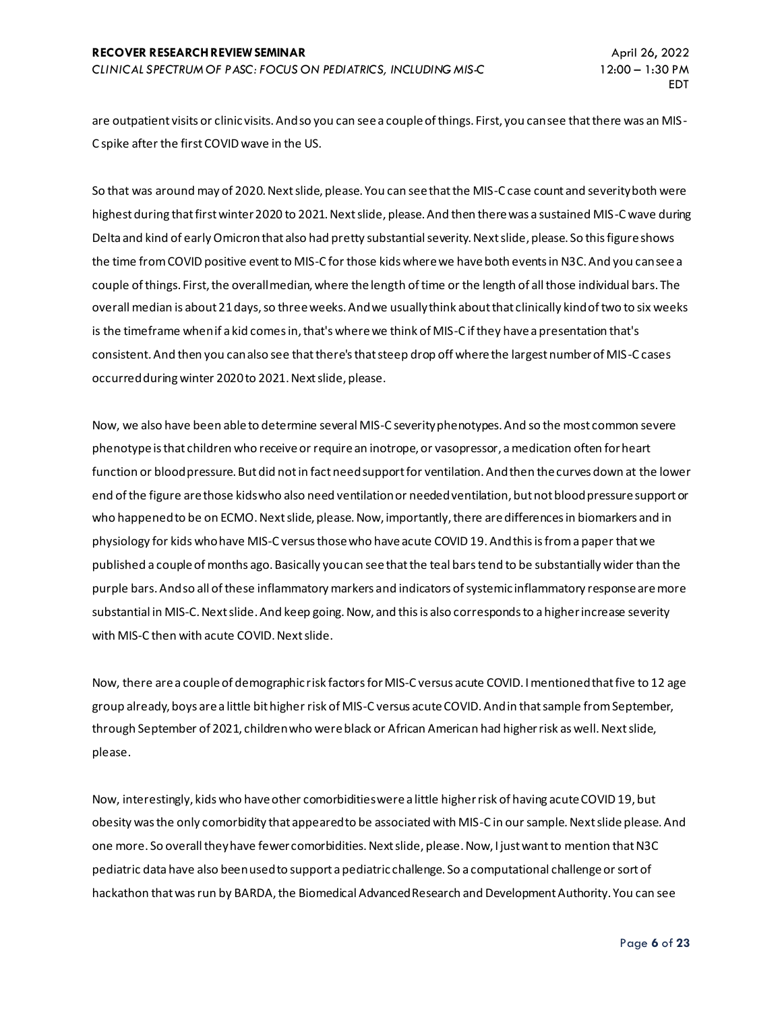are outpatient visits or clinic visits. And so you can see a couple of things. First, you can see that there was an MIS-C spike after the first COVID wave in the US.

So that was around may of 2020. Next slide, please. You can see that the MIS-C case count and severity both were highest during that first winter 2020 to 2021. Next slide, please. And then there was a sustained MIS-C wave during Delta and kind of early Omicronthat also had pretty substantial severity. Next slide, please. So this figure shows the time from COVID positive event to MIS-C for those kids where we have both events in N3C. And you can see a couple of things. First, the overall median, where the length of time or the length of all those individual bars. The overall median is about 21 days, so three weeks. And we usually think about that clinically kind of two to six weeks is the timeframe when if a kid comes in, that's where we think of MIS-C if they have a presentation that's consistent. And then you can also see that there's that steep drop off where the largest number of MIS-C cases occurred during winter 2020 to 2021. Next slide, please.

Now, we also have been able to determine several MIS-C severityphenotypes. And so the most common severe phenotype is that children who receive or require an inotrope, or vasopressor, a medication often for heart function or blood pressure. But did not in fact need support for ventilation. And then the curves down at the lower end of the figure are those kids who also need ventilation or needed ventilation, but not blood pressure support or who happened to be on ECMO. Next slide, please. Now, importantly, there are differences in biomarkers and in physiology for kids who have MIS-C versus those who have acute COVID 19. And this is from a paper that we published a couple of months ago. Basically you can see that the teal bars tend to be substantially wider than the purple bars. And so all of these inflammatory markers and indicators of systemic inflammatory response are more substantial in MIS-C. Next slide. And keep going. Now, and this is also corresponds to a higher increase severity with MIS-C then with acute COVID. Next slide.

Now, there are a couple of demographic risk factors for MIS-C versus acute COVID. I mentioned that five to 12 age group already, boys are a little bit higher risk of MIS-C versus acute COVID. And in that sample from September, through September of 2021, children who were black or African American had higher risk as well. Next slide, please.

Now, interestingly, kids who have other comorbidities were a little higher risk of having acute COVID 19, but obesity was the only comorbidity that appeared to be associated with MIS-C in our sample. Next slide please. And one more. So overall they have fewer comorbidities. Next slide, please. Now, I just want to mention that N3C pediatric data have also been used to support a pediatric challenge. So a computational challenge or sort of hackathon that was run by BARDA, the Biomedical Advanced Research and Development Authority. You can see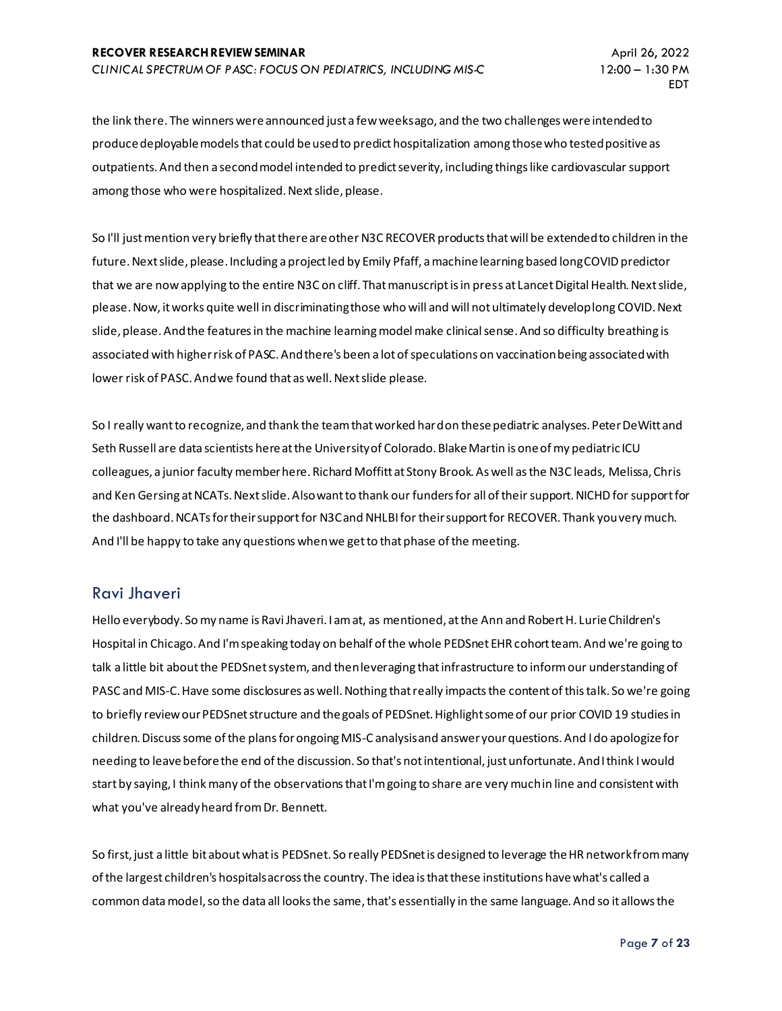the link there. The winners were announced just a few weeks ago, and the two challenges were intended to produce deployable models that could be used to predict hospitalization among those who tested positive as outpatients. And then a second model intended to predict severity, including things like cardiovascular support among those who were hospitalized. Next slide, please.

So I'll just mention very briefly that there are other N3C RECOVER products that will be extended to children in the future. Next slide, please. Including a project led by Emily Pfaff, a machine learning based long COVID predictor that we are now applying to the entire N3C on cliff. That manuscript is in press at Lancet Digital Health. Next slide, please. Now, it works quite well in discriminating those who will and will not ultimately develop long COVID. Next slide, please. And the features in the machine learning model make clinical sense. And so difficulty breathing is associated with higher risk of PASC. And there's been a lot of speculations on vaccination being associated with lower risk of PASC. And we found that as well. Next slide please.

So I really want to recognize, and thank the team that worked hard on these pediatric analyses. Peter DeWitt and Seth Russell are data scientists here at the University of Colorado. Blake Martin is one of my pediatric ICU colleagues, a junior faculty member here. Richard Moffitt at Stony Brook. As well as the N3C leads, Melissa, Chris and Ken Gersing at NCATs. Next slide. Also want to thank our funders for all of their support. NICHD for support for the dashboard. NCATs for their support for N3C and NHLBI for their support for RECOVER. Thank you very much. And I'll be happy to take any questions when we get to that phase of the meeting.

#### Ravi Jhaveri

Hello everybody. So my name is Ravi Jhaveri. I am at, as mentioned, at the Ann and Robert H. Lurie Children's Hospital in Chicago. And I'm speaking today on behalf of the whole PEDSnet EHR cohort team. And we're going to talk a little bit about the PEDSnet system, and then leveraging that infrastructure to inform our understanding of PASC and MIS-C. Have some disclosures as well. Nothing that really impacts the content of this talk. So we're going to briefly review our PEDSnet structure and the goals of PEDSnet. Highlight some of our prior COVID 19 studies in children. Discuss some of the plans for ongoing MIS-C analysis and answer your questions. And I do apologize for needing to leave before the end of the discussion. So that's not intentional, just unfortunate. And I think I would start by saying, I think many of the observations that I'm going to share are very much in line and consistent with what you've already heard from Dr. Bennett.

So first, just a little bit about what is PEDSnet. So really PEDSnet is designed to leverage the HR network from many of the largest children's hospitals across the country. The idea is that these institutions have what's called a common data model, so the data all looks the same, that's essentially in the same language. And so it allows the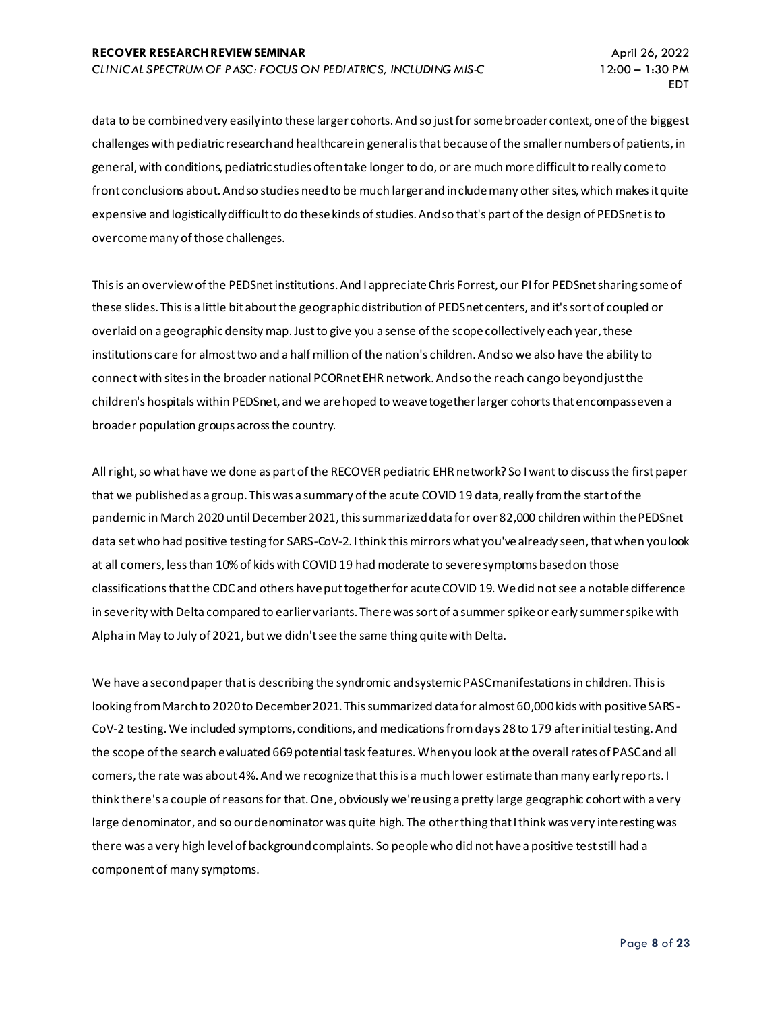data to be combined very easily into these larger cohorts. And so just for some broader context, one of the biggest challenges with pediatric research and healthcare in general is that because of the smaller numbers of patients, in general, with conditions, pediatric studies often take longer to do, or are much more difficult to really come to front conclusions about. And so studies need to be much larger and include many other sites, which makes it quite expensive and logistically difficult to do these kinds of studies. And so that's part of the design of PEDSnet is to overcome many of those challenges.

This is an overview of the PEDSnet institutions. And I appreciate Chris Forrest, our PI for PEDSnet sharing some of these slides. This is a little bit about the geographic distribution of PEDSnet centers, and it's sort of coupled or overlaid on a geographic density map. Just to give you a sense of the scope collectively each year, these institutions care for almost two and a half million of the nation's children. And so we also have the ability to connect with sites in the broader national PCORnet EHR network. And so the reach can go beyond just the children's hospitals within PEDSnet, and we are hoped to weave together larger cohorts that encompass even a broader population groups across the country.

All right, so what have we done as part of the RECOVER pediatric EHR network? So I want to discuss the first paper that we published as a group. This was a summary of the acute COVID 19 data, really from the start of the pandemic in March 2020 until December 2021, this summarized data for over 82,000 children within the PEDSnet data set who had positive testing for SARS-CoV-2. I think this mirrors what you've already seen, that when you look at all comers, less than 10% of kids with COVID 19 had moderate to severe symptoms based on those classifications that the CDC and others have put together for acute COVID 19. We did not see a notable difference in severity with Delta compared to earlier variants. There was sort of a summer spike or early summer spike with Alpha in May to July of 2021, but we didn't see the same thing quite with Delta.

We have a second paper that is describing the syndromic and systemic PASC manifestations in children. This is looking from March to 2020 to December 2021. This summarized data for almost 60,000 kids with positive SARS-CoV-2 testing. We included symptoms, conditions, and medications from days 28 to 179 after initial testing. And the scope of the search evaluated 669 potential task features. When you look at the overall rates of PASC and all comers, the rate was about 4%. And we recognize that this is a much lower estimate than many early reports. I think there's a couple of reasons for that. One, obviously we're using a pretty large geographic cohort with a very large denominator, and so our denominator was quite high. The other thing that I think was very interesting was there was a very high level of background complaints. So people who did not have a positive test still had a component of many symptoms.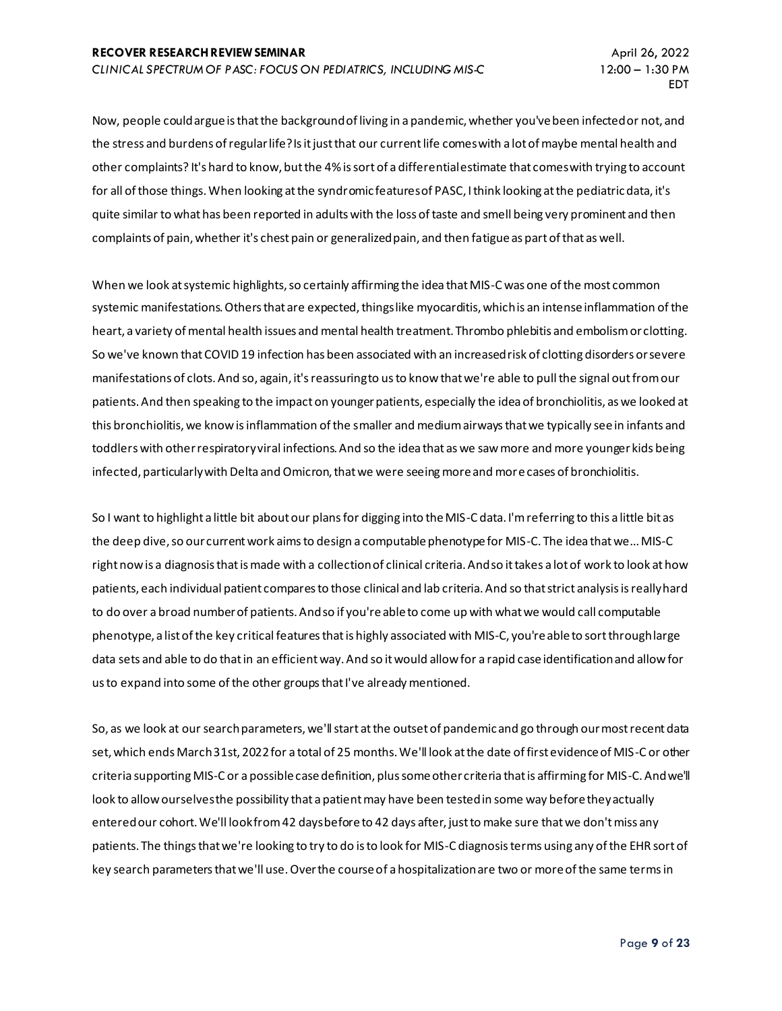Now, people could argue is that the background of living in a pandemic, whether you've been infected or not, and the stress and burdens of regular life? Is it just that our current life comes with a lot of maybe mental health and other complaints? It's hard to know, but the 4% is sort of a differential estimate that comes with trying to account for all of those things. When looking at the syndromic features of PASC, I think looking at the pediatric data, it's quite similar to what has been reported in adults with the loss of taste and smell being very prominent and then complaints of pain, whether it's chest pain or generalized pain, and then fatigue as part of that as well.

When we look at systemic highlights, so certainly affirming the idea that MIS-C was one of the most common systemic manifestations. Others that are expected, things like myocarditis, which is an intense inflammation of the heart, a variety of mental health issues and mental health treatment. Thrombo phlebitis and embolism or clotting. So we've known that COVID 19 infection has been associated with an increased risk of clotting disorders or severe manifestations of clots. And so, again, it's reassuring to us to know that we're able to pull the signal out from our patients. And then speaking to the impact on younger patients, especially the idea of bronchiolitis, as we looked at this bronchiolitis, we know is inflammation of the smaller and medium airways that we typically see in infants and toddlers with other respiratory viral infections. And so the idea that as we saw more and more younger kids being infected, particularly with Delta and Omicron, that we were seeing more and more cases of bronchiolitis.

So I want to highlight a little bit about our plans for digging into the MIS-C data. I'm referring to this a little bit as the deep dive, so our current work aims to design a computable phenotype for MIS-C. The idea that we... MIS-C right now is a diagnosis that is made with a collection of clinical criteria. And so it takes a lot of work to look at how patients, each individual patient compares to those clinical and lab criteria. And so that strict analysis is really hard to do over a broad number of patients. And so if you're able to come up with what we would call computable phenotype, a list of the key critical features that is highly associated with MIS-C, you're able to sort through large data sets and able to do that in an efficient way. And so it would allow for a rapid case identification and allow for us to expand into some of the other groups that I've already mentioned.

So, as we look at our search parameters, we'll start at the outset of pandemic and go through our most recent data set, which ends March 31st, 2022 for a total of 25 months. We'll look at the date of first evidence of MIS-C or other criteria supporting MIS-C or a possible case definition, plus some other criteria that is affirming for MIS-C. And we'll look to allow ourselves the possibility that a patient may have been tested in some way before they actually entered our cohort. We'll look from 42 days before to 42 days after, just to make sure that we don't miss any patients. The things that we're looking to try to do is to look for MIS-C diagnosis terms using any of the EHR sort of key search parameters that we'll use. Over the course of a hospitalization are two or more of the same terms in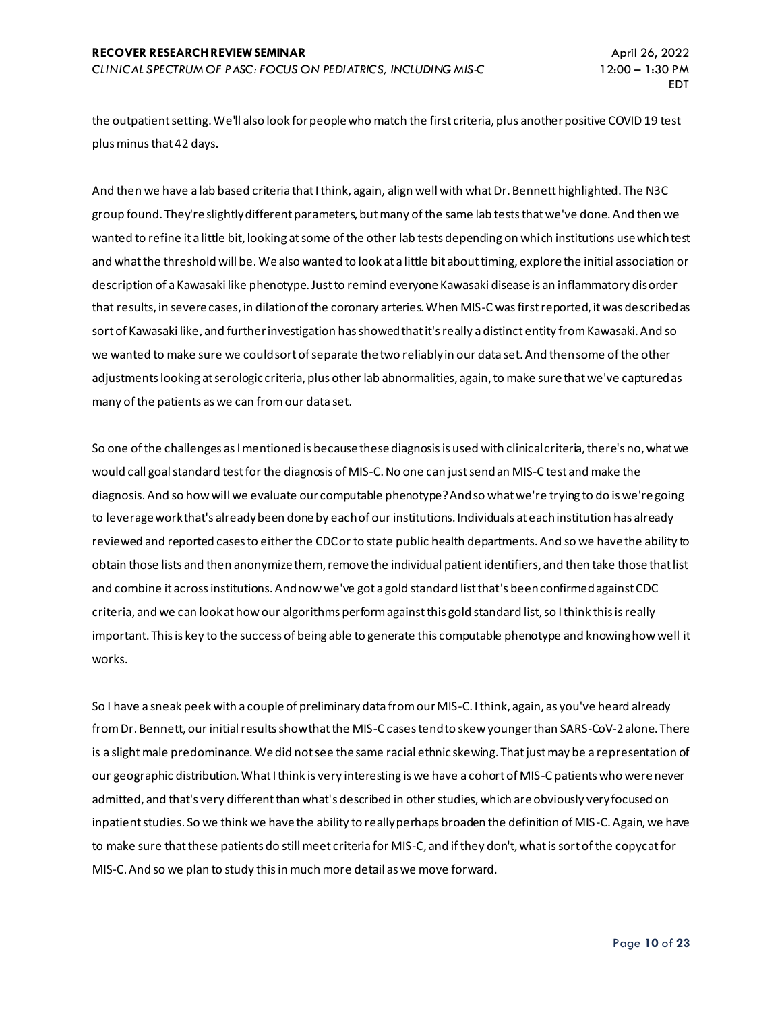the outpatient setting. We'll also look for people who match the first criteria, plus another positive COVID 19 test plus minus that 42 days.

And then we have a lab based criteria that I think, again, align well with what Dr. Bennett highlighted. The N3C group found. They're slightly different parameters, but many of the same lab tests that we've done. And then we wanted to refine it a little bit, looking at some of the other lab tests depending on which institutions use which test and what the threshold will be. We also wanted to look at a little bit about timing, explore the initial association or description of a Kawasaki like phenotype. Just to remind everyone Kawasaki disease is an inflammatory disorder that results, in severe cases, in dilation of the coronary arteries. When MIS-C was first reported, it was described as sort of Kawasaki like, and further investigation has showed that it's really a distinct entity from Kawasaki. And so we wanted to make sure we could sort of separate the two reliably in our data set. And then some of the other adjustments looking at serologic criteria, plus other lab abnormalities, again, to make sure that we've captured as many of the patients as we can from our data set.

So one of the challenges as I mentioned is because these diagnosis is used with clinical criteria, there's no, what we would call goal standard test for the diagnosis of MIS-C. No one can just send an MIS-C test and make the diagnosis. And so how will we evaluate our computable phenotype? And so what we're trying to do is we're going to leverage work that's already been done by each of our institutions. Individuals at each institution has already reviewed and reported cases to either the CDC or to state public health departments. And so we have the ability to obtain those lists and then anonymize them, remove the individual patient identifiers, and then take those that list and combine it across institutions. And now we've got a gold standard list that's been confirmed against CDC criteria, and we can look at how our algorithms perform against this gold standard list, so I think this is really important. This is key to the success of being able to generate this computable phenotype and knowing how well it works.

So I have a sneak peek with a couple of preliminary data from our MIS-C. I think, again, as you've heard already from Dr. Bennett, our initial results show that the MIS-C cases tend to skew younger than SARS-CoV-2 alone. There is a slight male predominance. We did not see the same racial ethnic skewing. That just may be a representation of our geographic distribution. What I think is very interesting is we have a cohort of MIS-C patients who were never admitted, and that's very different than what's described in other studies, which are obviously very focused on inpatient studies. So we think we have the ability to really perhaps broaden the definition of MIS-C. Again, we have to make sure that these patients do still meet criteria for MIS-C, and ifthey don't, what is sort of the copycat for MIS-C. And so we plan to study this in much more detail as we move forward.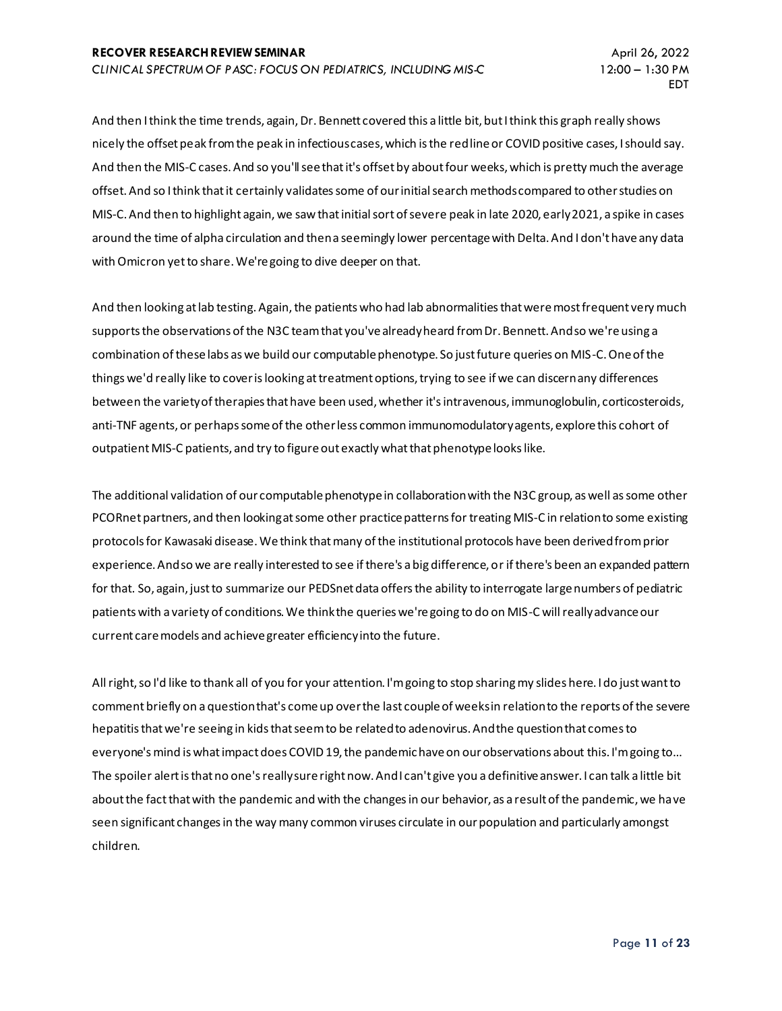And then I think the time trends, again, Dr. Bennett covered this a little bit, but I think this graph really shows nicely the offset peak from the peak in infectious cases, which is the red line or COVID positive cases, I should say. And then the MIS-C cases. And so you'll see that it's offset by about four weeks, which is pretty much the average offset. And so I think that it certainly validates some of our initial search methods compared to other studies on MIS-C. And then to highlight again, we saw that initial sort of severe peak in late 2020, early 2021, a spike in cases around the time of alpha circulation and then a seemingly lower percentage with Delta. And I don't have any data with Omicron yet to share. We're going to dive deeper on that.

And then looking at lab testing. Again, the patients who had lab abnormalities that were most frequent very much supports the observations of the N3C team that you've already heard from Dr. Bennett. And so we're using a combination of these labs as we build our computable phenotype. So just future queries on MIS-C. One of the things we'd really like to cover is looking at treatment options, trying to see if we can discern any differences between the variety of therapies that have been used, whether it's intravenous, immunoglobulin, corticosteroids, anti-TNF agents, or perhaps some of the other less common immunomodulatory agents, explore this cohort of outpatient MIS-C patients, and try to figure out exactly what that phenotype looks like.

The additional validation of our computable phenotype in collaboration with the N3C group, as well as some other PCORnet partners, and then looking at some other practice patterns for treating MIS-C in relation to some existing protocols for Kawasaki disease. We think that many of the institutional protocols have been derived from prior experience. And so we are really interested to see if there's a big difference, or if there's been an expanded pattern for that. So, again, just to summarize our PEDSnet data offers the ability to interrogate large numbers of pediatric patients with a variety of conditions. We think the queries we're going to do on MIS-C will really advance our current care models and achieve greater efficiency into the future.

All right, so I'd like to thank all of you for your attention. I'm going to stop sharing my slides here. I do just want to comment briefly on a question that's come up over the last couple of weeks in relation to the reports of the severe hepatitis that we're seeing in kids that seem to be related to adenovirus. And the question that comes to everyone's mind is what impact does COVID 19, the pandemic have on our observations about this. I'm going to... The spoiler alert is that no one's really sure right now. And I can't give you a definitive answer. I can talk a little bit about the fact that with the pandemic and with the changes in our behavior, as a result of the pandemic, we have seen significant changes in the way many common viruses circulate in our population and particularly amongst children.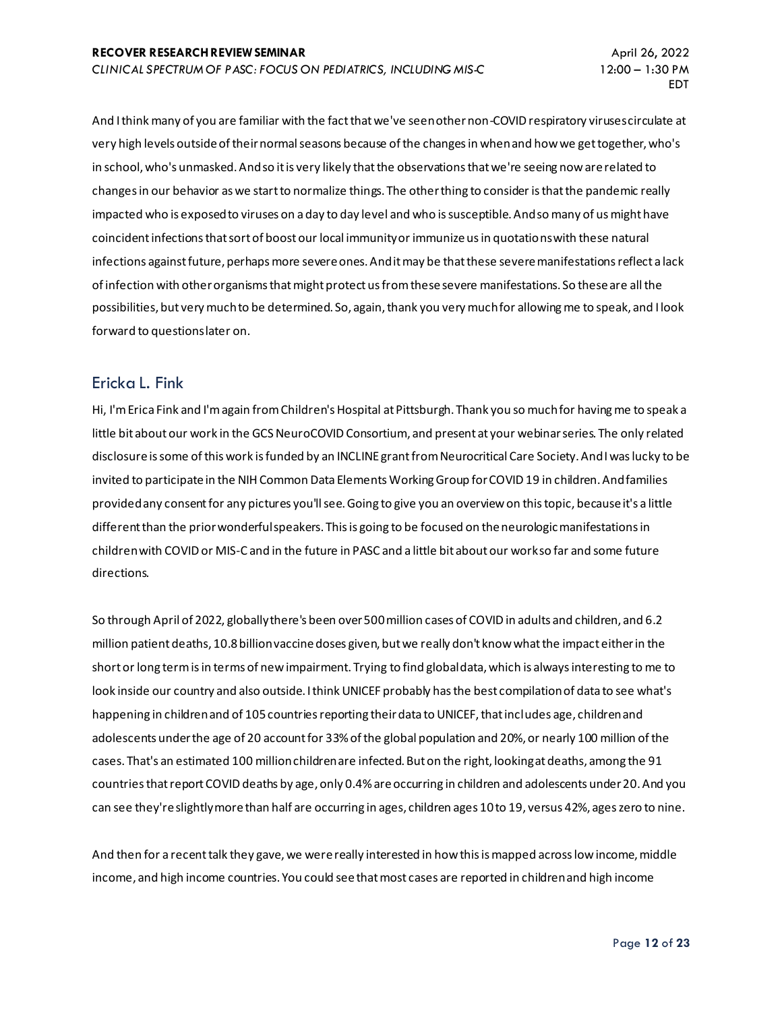And I think many of you are familiar with the fact that we've seen other non-COVID respiratory viruses circulate at very high levels outside of their normal seasons because of the changes in when and how we get together, who's in school, who's unmasked. And so it is very likely that the observations that we're seeing now are related to changes in our behavior as we start to normalize things. The other thing to consider is that the pandemic really impacted who is exposed to viruses on a day to day level and who is susceptible. And so many of us might have coincident infections that sort of boost our local immunity or immunize us in quotations with these natural infections against future, perhaps more severe ones. And it may be that these severe manifestations reflect a lack of infection with other organisms that might protect us from these severe manifestations. So these are all the possibilities, but very much to be determined. So, again, thank you very much for allowing me to speak, and I look forward to questions later on.

#### Ericka L. Fink

Hi, I'm Erica Fink and I'm again from Children's Hospital at Pittsburgh. Thank you so much for having me to speak a little bit about our work in the GCS NeuroCOVID Consortium, and present at your webinar series. The only related disclosure is some of this work is funded by an INCLINE grant from Neurocritical Care Society. And I was lucky to be invited to participate in the NIH Common Data Elements Working Group for COVID 19 in children. And families provided any consent for any pictures you'll see. Going to give you an overview on this topic, because it's a little different than the prior wonderful speakers. This is going to be focused on the neurologic manifestations in children with COVID or MIS-C and in the future in PASC and a little bit about our work so far and some future directions.

So through April of 2022, globally there's been over 500 million cases of COVID in adults and children, and 6.2 million patient deaths, 10.8 billion vaccine doses given, but we really don't know what the impact either in the short or long term is in terms of new impairment. Trying to find global data, which is always interesting to me to look inside our country and also outside. I think UNICEF probably has the best compilation of data to see what's happening in children and of 105 countries reporting their data to UNICEF, that includes age, children and adolescents under the age of 20 account for 33% of the global population and 20%, or nearly 100 million of the cases. That's an estimated 100 million children are infected. But on the right, looking at deaths, among the 91 countries that report COVID deaths by age, only 0.4% are occurring in children and adolescents under 20. And you can see they're slightly more than half are occurring in ages, children ages 10 to 19, versus 42%, ages zero to nine.

And then for a recent talk they gave, we were really interested in how this is mapped across low income, middle income, and high income countries. You could see that most cases are reported in children and high income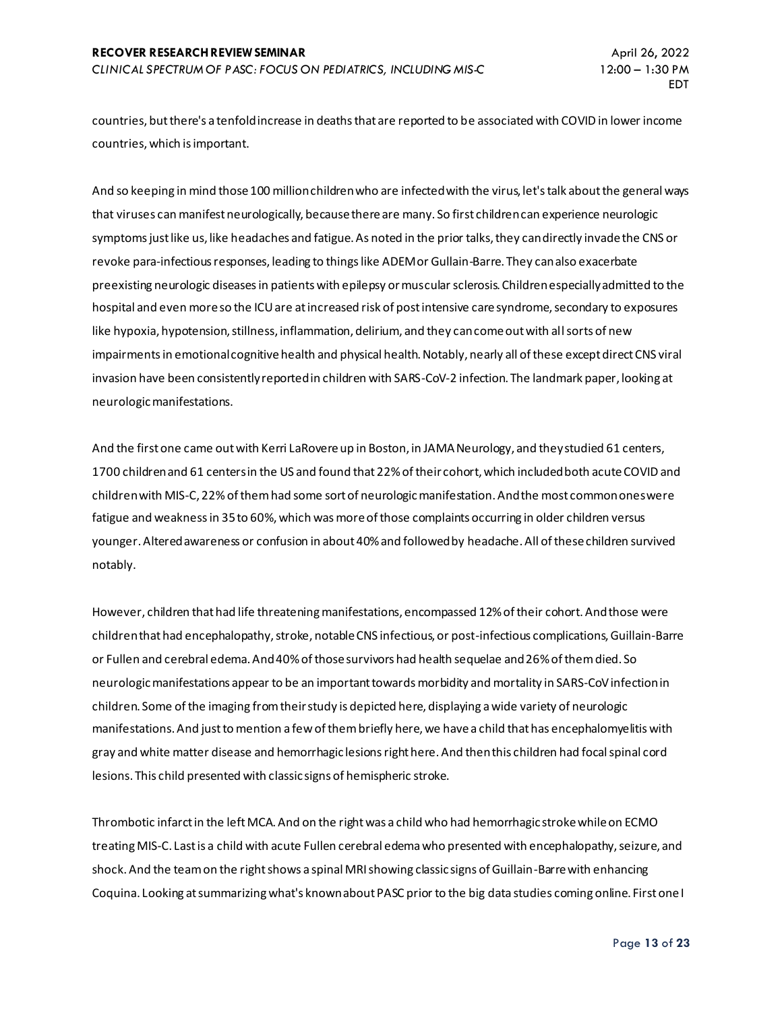countries, but there's a tenfold increase in deaths that are reported to be associated with COVID in lower income countries, which is important.

And so keeping in mind those 100 million children who are infected with the virus, let's talk about the general ways that viruses can manifest neurologically, because there are many. So first children can experience neurologic symptoms just like us, like headaches and fatigue. As noted in the prior talks, they can directly invade the CNS or revoke para-infectious responses, leading to things like ADEM or Gullain-Barre. They can also exacerbate preexisting neurologic diseases in patients with epilepsy or muscular sclerosis. Children especially admitted to the hospital and even more so the ICU are at increased risk of post intensive care syndrome, secondary to exposures like hypoxia, hypotension, stillness, inflammation, delirium, and they can come out with all sorts of new impairments in emotional cognitive health and physical health. Notably, nearly all of these except direct CNS viral invasion have been consistently reported in children with SARS-CoV-2 infection. The landmark paper, looking at neurologic manifestations.

And the first one came out with Kerri LaRovere up in Boston, in JAMA Neurology, and they studied 61 centers, 1700 children and 61 centers in the US and found that 22% of their cohort, which included both acute COVID and children with MIS-C, 22%of them had some sort of neurologic manifestation. And the most common ones were fatigue and weakness in 35 to 60%, which was more of those complaints occurring in older children versus younger. Altered awareness or confusion in about 40% and followed by headache. All of these children survived notably.

However, children that had life threatening manifestations, encompassed 12% of their cohort. And those were children that had encephalopathy, stroke, notable CNS infectious, or post-infectious complications,Guillain-Barre or Fullen and cerebral edema. And 40% of those survivors had health sequelae and 26% of them died. So neurologic manifestations appear to be an important towards morbidity and mortality in SARS-CoV infection in children. Some of the imaging from their study is depicted here, displaying a wide variety of neurologic manifestations. And just to mention a few of them briefly here, we have a child that has encephalomyelitis with gray and white matter disease and hemorrhagic lesions right here. And then this children had focal spinal cord lesions. This child presented with classic signs of hemispheric stroke.

Thrombotic infarct in the left MCA. And on the right was a child who had hemorrhagic stroke while on ECMO treating MIS-C. Last is a child with acute Fullen cerebral edema who presented with encephalopathy, seizure, and shock. And the team on the right shows a spinal MRI showing classic signs of Guillain-Barre with enhancing Coquina. Looking at summarizing what's known about PASC prior to the big data studies coming online. First one I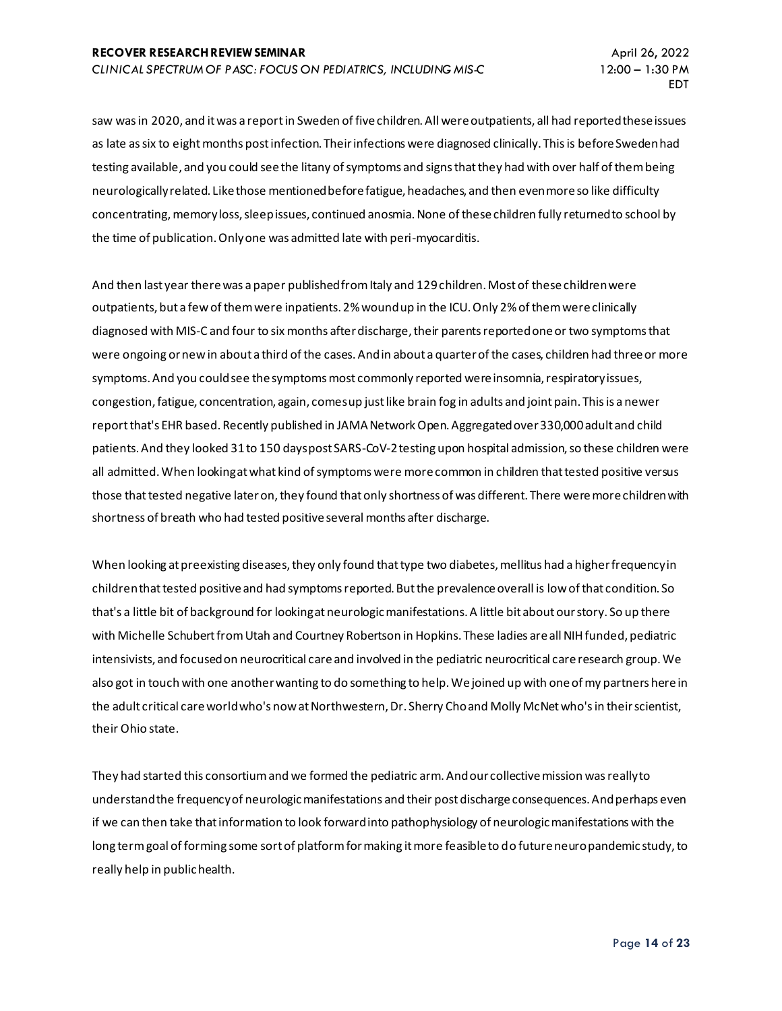saw was in 2020, and it was a report in Sweden of five children. All were outpatients, all had reported these issues as late as six to eight months post infection. Their infections were diagnosed clinically. This is before Sweden had testing available, and you could see the litany of symptoms and signs that they had with over half of them being neurologically related. Like those mentioned before fatigue, headaches, and then even more so like difficulty concentrating, memory loss, sleep issues, continued anosmia. None of these children fully returned to school by the time of publication. Only one was admitted late with peri-myocarditis.

And then last year there was a paper published from Italy and 129 children. Most of these children were outpatients, but a few of them were inpatients. 2% wound up in the ICU. Only 2% of them were clinically diagnosed with MIS-C and four to six months after discharge, their parents reported one or two symptoms that were ongoing or new in about a third of the cases. And in about a quarter of the cases, children had three or more symptoms. And you could see the symptoms most commonly reported were insomnia, respiratory issues, congestion, fatigue, concentration, again, comes up just like brain fog in adults and joint pain. This is a newer report that's EHR based. Recently published in JAMA Network Open. Aggregated over 330,000 adult and child patients. And they looked 31 to 150 days post SARS-CoV-2 testing upon hospital admission, so these children were all admitted. When looking at what kind of symptoms were more common in children that tested positive versus those that tested negative later on, they found that only shortness of was different. There were more children with shortness of breath who had tested positive several months after discharge.

When looking at preexisting diseases, they only found that type two diabetes, mellitus had a higher frequency in children that tested positive and had symptoms reported. But the prevalence overall is low of that condition. So that's a little bit of background for looking at neurologic manifestations. A little bit about our story. So up there with Michelle Schubert from Utah and Courtney Robertson in Hopkins. These ladies are all NIH funded, pediatric intensivists, and focused on neurocritical care and involved in the pediatric neurocritical care research group. We also got in touch with one another wanting to do something to help. We joined up with one of my partners here in the adult critical care world who's now at Northwestern, Dr. Sherry Cho and Molly McNet who's in their scientist, their Ohio state.

They had started this consortium and we formed the pediatric arm. And our collective mission was really to understand the frequency of neurologic manifestations and their post discharge consequences. And perhaps even if we can then take that information to look forward into pathophysiology of neurologic manifestations with the long term goal of forming some sort of platform for making it more feasible to do future neuro pandemic study, to really help in public health.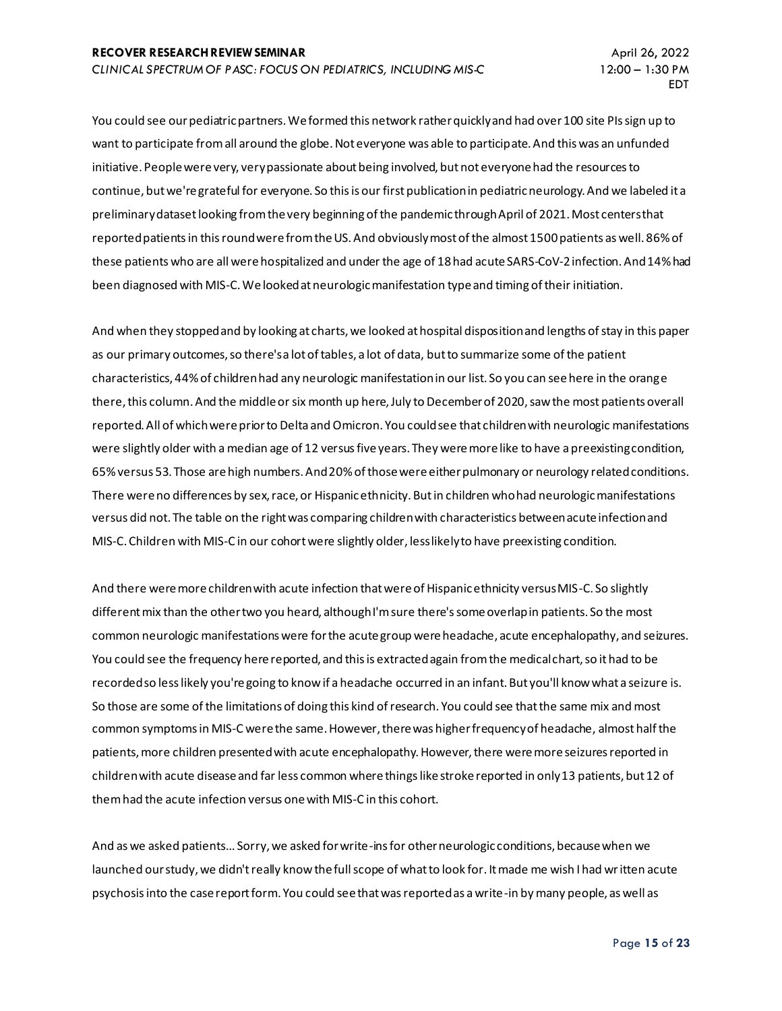You could see our pediatric partners. We formed this network rather quickly and had over 100 site PIs sign up to want to participate from all around the globe. Not everyone was able to participate. And this was an unfunded initiative. People were very, very passionate about being involved, but not everyone had the resources to continue, but we're grateful for everyone. So this is our first publication in pediatric neurology. And we labeled it a preliminary dataset looking from the very beginning of the pandemic through April of 2021. Most centers that reported patients in this round were from the US. And obviously most of the almost 1500 patients as well. 86% of these patients who are all were hospitalized and under the age of 18 had acute SARS-CoV-2 infection. And 14% had been diagnosed with MIS-C. We looked at neurologic manifestation type and timing of their initiation.

And when they stopped and by looking at charts, we looked at hospital disposition and lengths of stay in this paper as our primary outcomes, so there's a lot of tables, a lot of data, but to summarize some of the patient characteristics, 44% of children had any neurologic manifestation in our list. So you can see here in the orange there, this column. And the middle or six month up here, July to December of 2020, saw the most patients overall reported. All of which were prior to Delta and Omicron. You could see that children with neurologic manifestations were slightly older with a median age of 12 versus five years. They were more like to have a preexisting condition, 65% versus 53. Those are high numbers. And 20% of those were either pulmonary or neurology related conditions. There were no differences by sex, race, or Hispanic ethnicity. But in children who had neurologic manifestations versus did not. The table on the right was comparing children with characteristics between acute infection and MIS-C. Children with MIS-C in our cohort were slightly older, less likely to have preexisting condition.

And there were more children with acute infection that were of Hispanic ethnicity versus MIS-C. So slightly different mix than the other two you heard, although I'm sure there's some overlap in patients. So the most common neurologic manifestations were for the acute group were headache, acute encephalopathy, and seizures. You could see the frequency here reported, and this is extracted again from the medical chart, so it had to be recorded so less likely you're going to know if a headache occurred in an infant. But you'll know what a seizure is. So those are some of the limitations of doing this kind of research. You could see that the same mix and most common symptoms in MIS-C were the same. However, there was higher frequency of headache, almost half the patients, more children presented with acute encephalopathy. However, there were more seizures reported in children with acute disease and far less common where things like stroke reported in only 13 patients, but 12 of them had the acute infection versus one with MIS-C in this cohort.

And as we asked patients... Sorry, we asked for write-ins for other neurologic conditions, because when we launched our study, we didn't really know the full scope of what to look for. It made me wish I had written acute psychosis into the case report form. You could see that was reported as a write-in by many people, as well as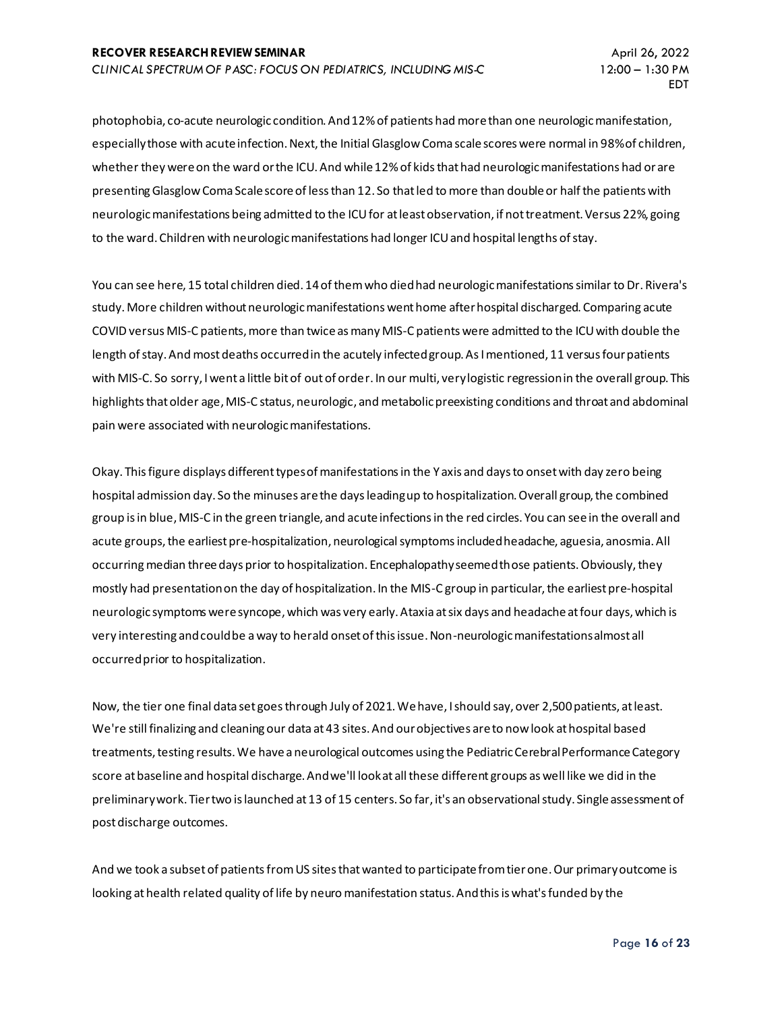photophobia, co-acute neurologic condition. And 12% of patients had more than one neurologic manifestation, especially those with acute infection. Next, the Initial Glasglow Coma scale scores were normal in 98% of children, whether they were on the ward or the ICU. And while 12% of kids that had neurologic manifestations had or are presenting Glasglow Coma Scale score of less than 12. So that led to more than double or half the patients with neurologic manifestations being admitted to the ICU for at least observation, if not treatment. Versus 22%, going to the ward. Children with neurologic manifestations had longer ICU and hospital lengths of stay.

You can see here, 15 total children died. 14 of them who died had neurologic manifestations similar to Dr. Rivera's study. More children without neurologic manifestations went home after hospital discharged. Comparing acute COVID versus MIS-C patients, more than twice as many MIS-C patients were admitted to the ICU with double the length of stay. And most deaths occurred in the acutely infected group. As I mentioned, 11 versus four patients with MIS-C. So sorry, I went a little bit of out of order. In our multi, very logistic regression in the overall group. This highlights that older age, MIS-C status, neurologic, and metabolic preexisting conditions and throat and abdominal pain were associated with neurologic manifestations.

Okay. This figure displays different types of manifestations in the Y axis and days to onset with day zero being hospital admission day. So the minuses are the days leading up to hospitalization. Overall group, the combined group is in blue, MIS-C in the green triangle, and acute infections in the red circles. You can see in the overall and acute groups, the earliest pre-hospitalization, neurological symptoms included headache, aguesia, anosmia. All occurring median three days prior to hospitalization. Encephalopathy seemed those patients. Obviously, they mostly had presentation on the day of hospitalization. In the MIS-C group in particular, the earliest pre-hospital neurologic symptoms were syncope, which was very early. Ataxia at six days and headache at four days, which is very interesting and could be a way to herald onset of this issue. Non-neurologic manifestations almost all occurred prior to hospitalization.

Now, the tier one final data set goes through July of 2021. We have, I should say, over 2,500 patients, at least. We're still finalizing and cleaning our data at 43 sites. And our objectives are to now look at hospital based treatments, testing results. We have a neurological outcomes using the Pediatric Cerebral Performance Category score at baseline and hospital discharge. And we'll look at all these different groups as well like we did in the preliminary work. Tier two is launched at 13 of 15 centers. So far, it's an observational study. Single assessment of post discharge outcomes.

And we took a subset of patients from US sites that wanted to participate from tier one. Our primary outcome is looking at health related quality of life by neuro manifestation status. And this is what's funded by the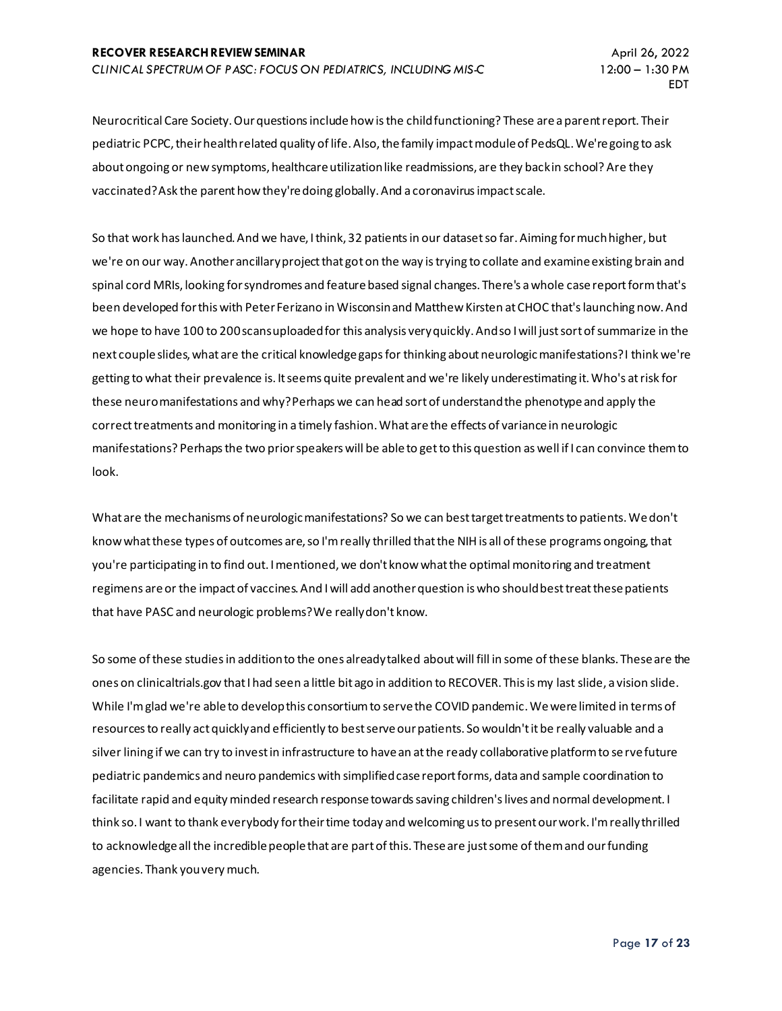Neurocritical Care Society. Our questions include how is the child functioning? These are a parent report. Their pediatric PCPC, their health related quality of life. Also, the family impact module of PedsQL. We're going to ask about ongoing or new symptoms, healthcare utilization like readmissions, are they back in school? Are they vaccinated? Ask the parent how they're doing globally. And a coronavirus impact scale.

So that work has launched. And we have, I think, 32 patients in our dataset so far. Aiming for much higher, but we're on our way. Another ancillary project that got on the way is trying to collate and examine existing brain and spinal cord MRIs, looking for syndromes and feature based signal changes. There's a whole case report form that's been developed for this with Peter Ferizano in Wisconsin and Matthew Kirsten at CHOC that's launching now. And we hope to have 100 to 200 scans uploaded for this analysis very quickly. And so I will just sort of summarize in the next couple slides, what are the critical knowledge gaps for thinking about neurologic manifestations? I think we're getting to what their prevalence is. It seems quite prevalent and we're likely underestimating it. Who's at risk for these neuro manifestations and why? Perhaps we can head sort of understand the phenotype and apply the correct treatments and monitoring in a timely fashion. What are the effects of variance in neurologic manifestations? Perhaps the two prior speakers will be able to get to this question as well if I can convince them to look.

What are the mechanisms of neurologic manifestations? So we can best target treatments to patients. We don't know what these types of outcomes are, so I'm really thrilled that the NIH is all of these programs ongoing, that you're participating in to find out. I mentioned, we don't know what the optimal monitoring and treatment regimens are or the impact of vaccines. And I will add another question is who should best treat these patients that have PASC and neurologic problems? We really don't know.

So some of these studies in addition to the ones already talked about will fill in some of these blanks. These are the ones on clinicaltrials.gov that I had seen a little bit ago in addition to RECOVER. This is my last slide, a vision slide. While I'm glad we're able to develop this consortium to serve the COVID pandemic. We were limited in terms of resources to really act quickly and efficiently to best serve our patients. So wouldn't it be really valuable and a silver lining if we can try to invest in infrastructure to have an at the ready collaborative platform to serve future pediatric pandemics and neuro pandemics with simplified case report forms, data and sample coordination to facilitate rapid and equity minded research response towards saving children's lives and normal development. I think so. I want to thank everybody for their time today and welcoming us to present our work. I'm really thrilled to acknowledge all the incredible people that are part of this. These are just some of them and our funding agencies. Thank you very much.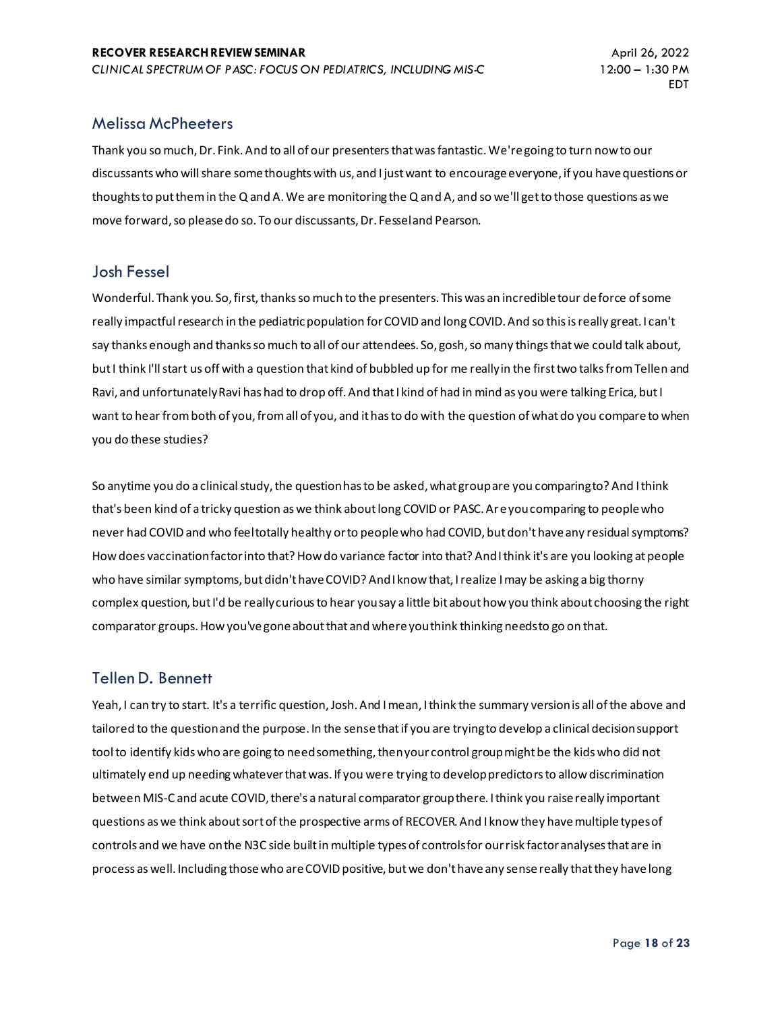## Melissa McPheeters

Thank you so much, Dr. Fink. And to all of our presenters that was fantastic. We're going to turn now to our discussants who will share some thoughts with us, and I just want to encourage everyone, if you have questions or thoughts to put them in the Q and A. We are monitoring the Q and A, and so we'll get to those questions as we move forward, so please do so. To our discussants, Dr. Fessel and Pearson.

#### Josh Fessel

Wonderful. Thank you. So, first, thanks so much to the presenters. This was an incredible tour de force of some really impactful research in the pediatric population for COVID and long COVID. And so this is really great. I can't say thanks enough and thanks so much to all of our attendees. So, gosh, so many things that we could talk about, but I think I'll start us off with a question that kind of bubbled up for me really in the first two talks from Tellen and Ravi, and unfortunately Ravi has had to drop off. And that I kind of had in mind as you were talking Erica, but I want to hear from both of you, from all of you, and it has to do with the question of what do you compare to when you do these studies?

So anytime you do a clinical study, the question has to be asked, what group are you comparing to? And I think that's been kind of a tricky question as we think about long COVID or PASC. Are you comparing to people who never had COVID and who feel totally healthy or to people who had COVID, but don't have any residual symptoms? How does vaccination factor into that? How do variance factor into that? And I think it's are you looking at people who have similar symptoms, but didn't have COVID? And I know that, I realize I may be asking a big thorny complex question, but I'd be really curious to hear you say a little bit about how you think about choosing the right comparator groups. How you've gone about that and where you think thinking needs to go on that.

## Tellen D. Bennett

Yeah, I can try to start. It's a terrific question, Josh. And I mean, I think the summary version is all of the above and tailored to the question and the purpose. In the sense that if you are trying to develop a clinical decision support tool to identify kids who are going to need something, then your control group might be the kids who did not ultimately end up needing whatever that was. If you were trying to develop predictors to allow discrimination between MIS-C and acute COVID, there's a natural comparator group there. I think you raise really important questions as we think about sort of the prospective arms of RECOVER. And I know they have multiple types of controls and we have on the N3C side built in multiple types of controls for our risk factor analyses that are in process as well. Including those who are COVID positive, but we don't have any sense really that they have long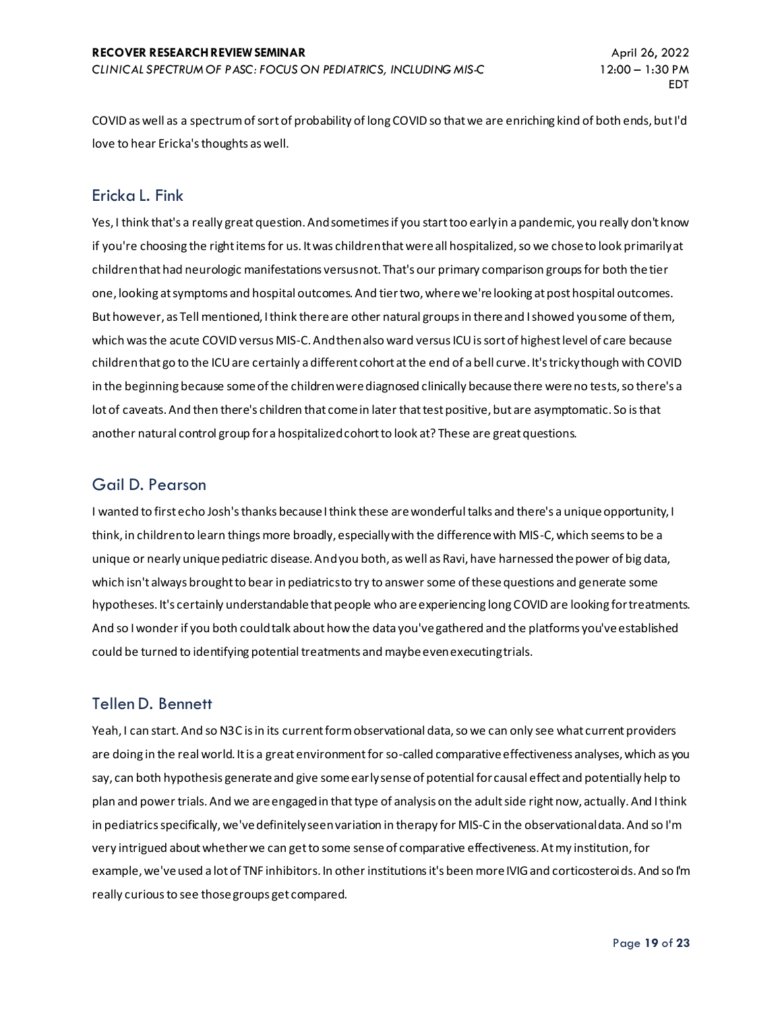COVID as well as a spectrum of sort of probability of long COVID so that we are enriching kind of both ends, but I'd love to hear Ericka's thoughts as well.

# Ericka L. Fink

Yes, I think that's a really great question. And sometimes if you start too early in a pandemic, you really don't know if you're choosing the right items for us. It was children that were all hospitalized, so we chose to look primarily at children that had neurologic manifestations versus not. That's our primary comparison groups for both the tier one, looking at symptoms and hospital outcomes. And tier two, where we're looking at post hospital outcomes. But however, as Tell mentioned, I think there are other natural groups in there and I showed you some of them, which was the acute COVID versus MIS-C. And then also ward versus ICU is sort of highest level of care because children that go to the ICU are certainly a different cohort at the end of a bell curve. It's tricky though with COVID in the beginning because some of the children were diagnosed clinically because there were no tests, so there's a lot of caveats. And then there's children that come in later that test positive, but are asymptomatic. So is that another natural control group for a hospitalized cohort to look at? These are great questions.

# Gail D. Pearson

I wanted to first echo Josh's thanks because I think these are wonderful talks and there's a unique opportunity, I think, in children to learn things more broadly, especially with the difference with MIS-C, which seems to be a unique or nearly unique pediatric disease. And you both, as well as Ravi, have harnessed the power of big data, which isn't always brought to bear in pediatrics to try to answer some of these questions and generate some hypotheses. It's certainly understandable that people who are experiencing long COVID are looking for treatments. And so I wonder if you both could talk about how the data you've gathered and the platforms you've established could be turned to identifying potential treatments and maybe even executing trials.

# Tellen D. Bennett

Yeah, I can start. And so N3C is in its current form observational data, so we can only see what current providers are doing in the real world. It is a great environment for so-called comparative effectiveness analyses, which as you say, can both hypothesis generate and give some early sense of potential for causal effect and potentially help to plan and power trials. And we are engaged in that type of analysis on the adult side right now, actually. And I think in pediatrics specifically, we've definitely seen variation in therapy for MIS-C in the observational data. And so I'm very intrigued about whether we can get to some sense of comparative effectiveness. At my institution, for example, we've used a lot of TNF inhibitors. In other institutions it's been more IVIG and corticosteroids. And so I'm really curious to see those groups get compared.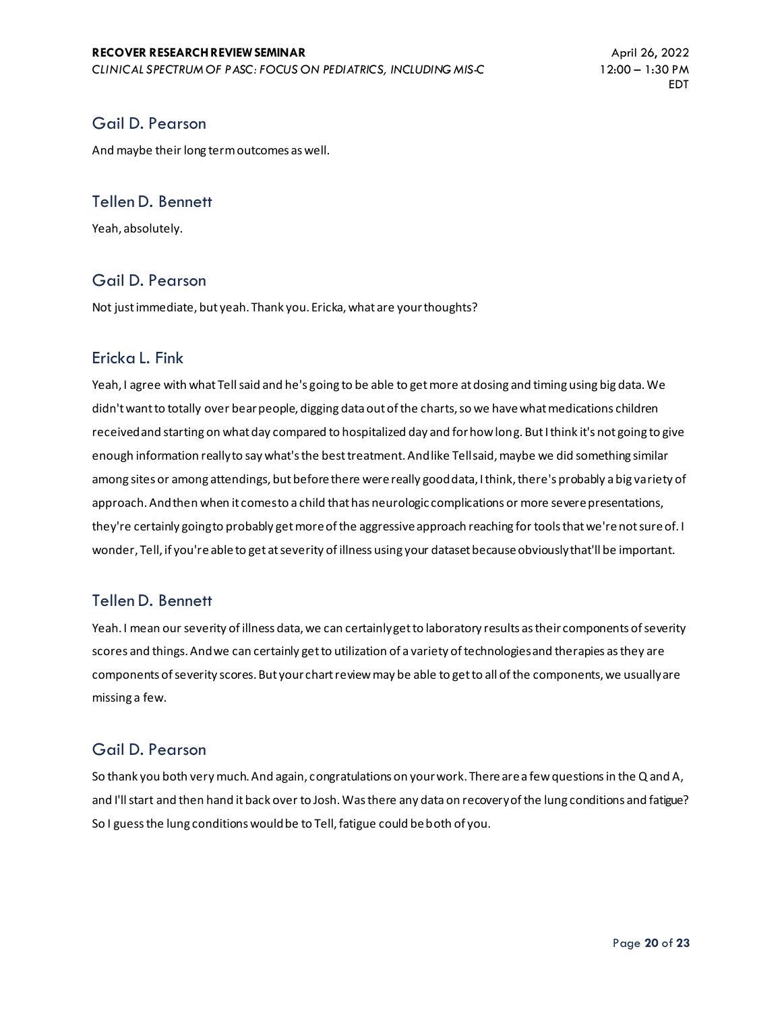# Gail D. Pearson

And maybe their long term outcomes as well.

#### Tellen D. Bennett

Yeah, absolutely.

## Gail D. Pearson

Not just immediate, but yeah. Thank you. Ericka, what are your thoughts?

#### Ericka L. Fink

Yeah, I agree with what Tell said and he's going to be able to get more at dosing and timing using big data. We didn't want to totally over bear people, digging data out of the charts, so we have what medications children received and starting on what day compared to hospitalized day and for how long. But I think it's not going to give enough information really to say what's the best treatment. And like Tell said, maybe we did something similar among sites or among attendings, but before there were really good data, I think, there's probably a big variety of approach. And then when it comes to a child that has neurologic complications or more severe presentations, they're certainly going to probably get more of the aggressive approach reaching for tools that we're not sure of. I wonder, Tell, if you're able to get at severity of illness using your dataset because obviously that'll be important.

## Tellen D. Bennett

Yeah. I mean our severity of illness data, we can certainly get to laboratory results as their components of severity scores and things. And we can certainly get to utilization of a variety of technologies and therapies as they are components of severity scores. But your chart review may be able to get to all of the components, we usually are missing a few.

## Gail D. Pearson

So thank you both very much. And again, congratulations on your work. There are a few questions in the Q and A, and I'll start and then hand it back over to Josh. Was there any data on recovery of the lung conditions and fatigue? So I guess the lung conditions would be to Tell, fatigue could be both of you.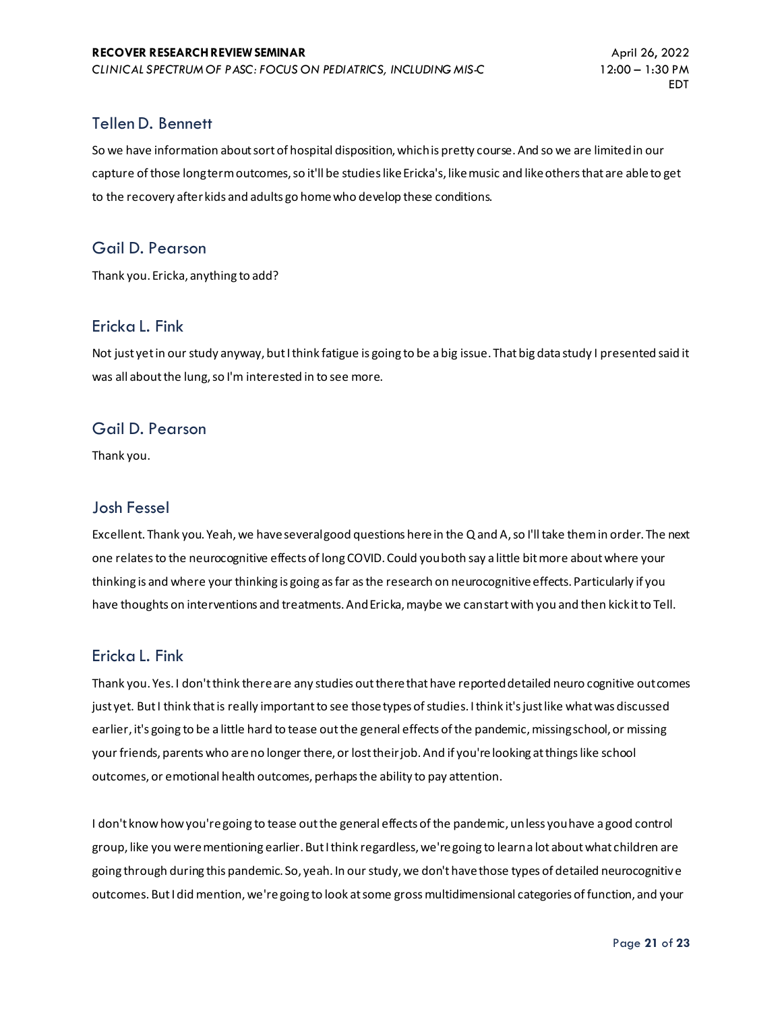## Tellen D. Bennett

So we have information about sort of hospital disposition, which is pretty course. And so we are limited in our capture of those long term outcomes, so it'll be studies like Ericka's, like music and like others that are able to get to the recovery after kids and adults go home who develop these conditions.

## Gail D. Pearson

Thank you. Ericka, anything to add?

## Ericka L. Fink

Not just yet in our study anyway, but I think fatigue is going to be a big issue. That big data study I presented said it was all about the lung, so I'm interested in to see more.

## Gail D. Pearson

Thank you.

## Josh Fessel

Excellent. Thank you. Yeah, we have several good questions here in the Q and A, so I'll take them in order. The next one relates to the neurocognitive effects of long COVID. Could you both say a little bit more about where your thinking is and where your thinking is going as far as the research on neurocognitive effects. Particularly if you have thoughts on interventions and treatments. And Ericka, maybe we can start with you and then kick it to Tell.

## Ericka L. Fink

Thank you. Yes. I don't think there are any studies out there that have reported detailed neuro cognitive outcomes just yet. But I think that is really important to see those types of studies. I think it's just like what was discussed earlier, it's going to be a little hard to tease out the general effects of the pandemic, missing school, or missing your friends, parents who are no longer there, or lost their job. And if you're looking at things like school outcomes, or emotional health outcomes, perhaps the ability to pay attention.

I don't know how you're going to tease out the general effects of the pandemic, unless you have a good control group, like you were mentioning earlier. But I think regardless, we're going to learn a lot about what children are going through during this pandemic. So, yeah. In our study, we don't have those types of detailed neurocognitive outcomes. But I did mention, we're going to look at some gross multidimensional categories of function, and your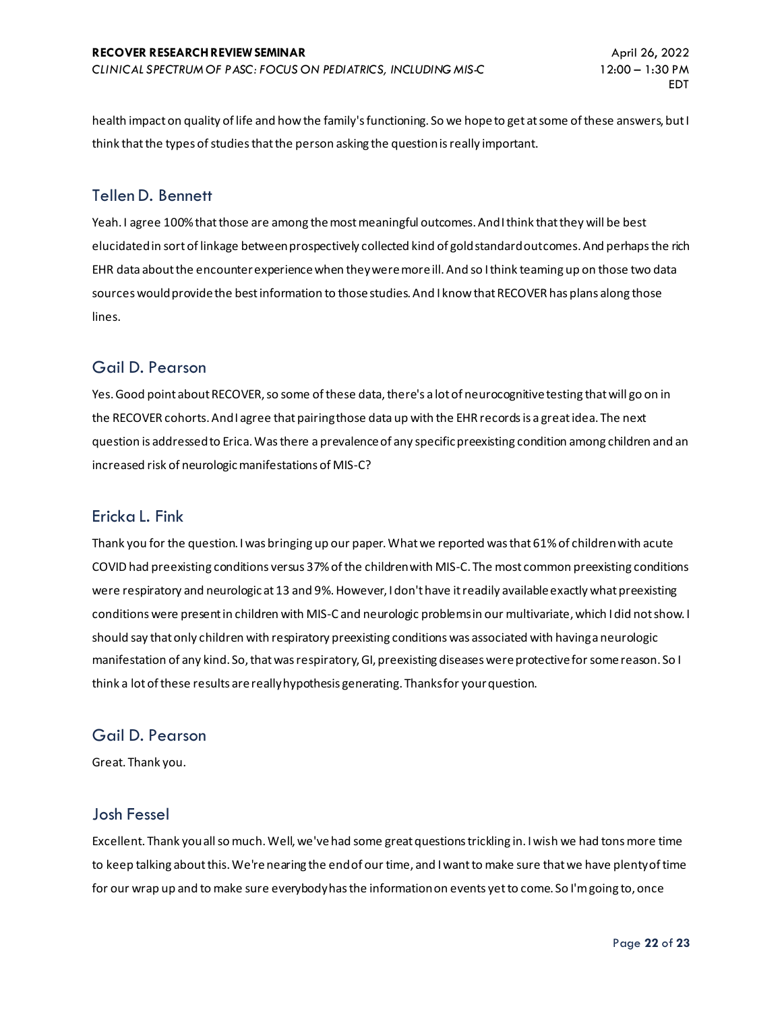health impact on quality of life and how the family's functioning. So we hope to get at some of these answers, but I think that the types of studies that the person asking the question is really important.

#### Tellen D. Bennett

Yeah. I agree 100% that those are among the most meaningful outcomes. And I think that they will be best elucidated in sort of linkage between prospectively collected kind of gold standard outcomes. And perhaps the rich EHR data about the encounter experience when they were more ill. And so I think teaming up on those two data sources would provide the best information to those studies. And I know that RECOVER has plans along those lines.

## Gail D. Pearson

Yes. Good point about RECOVER, so some of these data, there's a lot of neurocognitive testing that will go on in the RECOVER cohorts. And I agree that pairing those data up with the EHR records is a great idea. The next question is addressed to Erica. Was there a prevalence of any specific preexisting condition among children and an increased risk of neurologic manifestations of MIS-C?

#### Ericka L. Fink

Thank you for the question. I was bringing up our paper. What we reported was that 61% of children with acute COVID had preexisting conditions versus 37% of the children with MIS-C. The most common preexisting conditions were respiratory and neurologic at 13 and 9%. However, I don't have it readily available exactly what preexisting conditions were present in children with MIS-C and neurologic problems in our multivariate, which I did not show. I should say that only children with respiratory preexisting conditions was associated with having a neurologic manifestation of any kind. So, that was respiratory, GI, preexisting diseases were protective for some reason. So I think a lot of these results are really hypothesis generating. Thanks for your question.

## Gail D. Pearson

Great. Thank you.

#### Josh Fessel

Excellent. Thank you all so much. Well, we've had some great questions trickling in. I wish we had tons more time to keep talking about this. We're nearing the end of our time, and I want to make sure that we have plenty of time for our wrap up and to make sure everybody has the information on events yet to come. So I'm going to, once